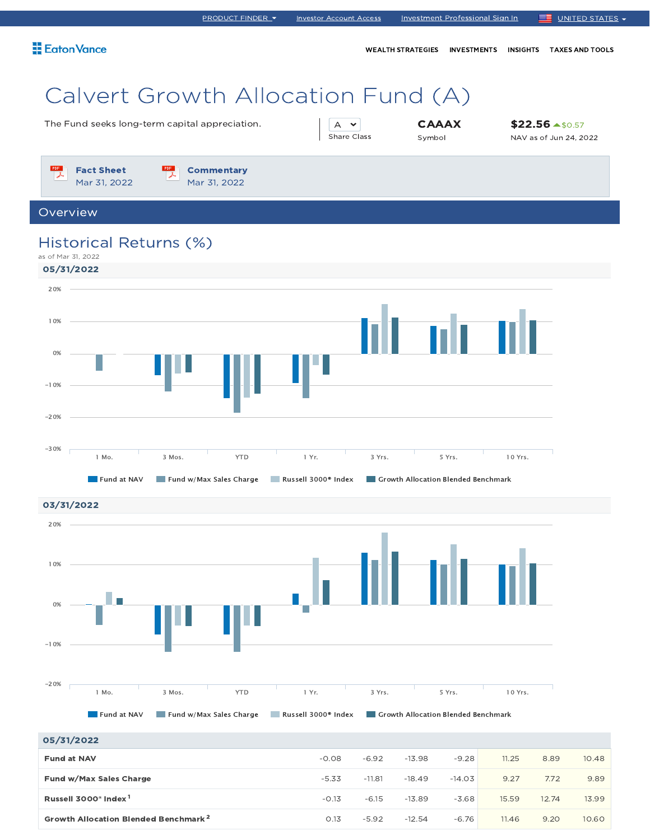| <b>Eaton Vance</b>                                                                                                                          |                                       | WEALTH STRATEGIES INVESTMENTS                 | <b>TAXES AND TOOLS</b><br><b>INSIGHTS</b>            |
|---------------------------------------------------------------------------------------------------------------------------------------------|---------------------------------------|-----------------------------------------------|------------------------------------------------------|
| Calvert Growth Allocation Fund (A)<br>The Fund seeks long-term capital appreciation.                                                        | $\wedge$ $\vee$<br><b>Share Class</b> | <b>CAAAX</b><br>Symbol                        | $$22.56 \rightarrow $0.57$<br>NAV as of Jun 24, 2022 |
| PDF<br><b>Fact Sheet</b><br><b>Commentary</b><br>Mar 31, 2022<br>Mar 31, 2022                                                               |                                       |                                               |                                                      |
| Overview                                                                                                                                    |                                       |                                               |                                                      |
| Historical Returns (%)<br>as of Mar 31, 2022<br>05/31/2022<br>20%<br>10%<br>0%<br>$-10%$<br>$-20%$                                          |                                       |                                               |                                                      |
| $-30%$<br><b>YTD</b><br>1 Yr.<br>1 Mo.<br>3 Mos.<br>Fund at NAV<br>Fund w/Max Sales Charge<br>Russell 3000 <sup>®</sup> Index<br>03/31/2022 | 3 Yrs.                                | 5 Yrs.<br>Growth Allocation Blended Benchmark | 10 Yrs.                                              |
| 20%                                                                                                                                         |                                       |                                               |                                                      |
| 10%                                                                                                                                         | ta di bilimlar                        |                                               |                                                      |

PRODUCT FINDER Investor Account Access Investment Professional Sign In UNITED STATES



05/31/2022 **Fund at NAV**  $-0.08$   $-6.92$   $-13.98$   $-9.28$   $-11.25$   $-8.89$   $-10.48$ **Fund w/Max Sales Charge 20 20 20 20 20 3.34 -11.81** -18.49 -14.03 -14.03 -14.03 -14.03 -14.03 -14.03 -14.03 -14.03 Russell 3000® Index -0.13 -6.15 -13.89 -3.68 15.59 12.74 13.99 1 **Growth Allocation Blended Benchmark 2 10.60 1.13**  $-5.92$   $-12.54$   $-6.76$  **11.46**  $-9.20$  10.60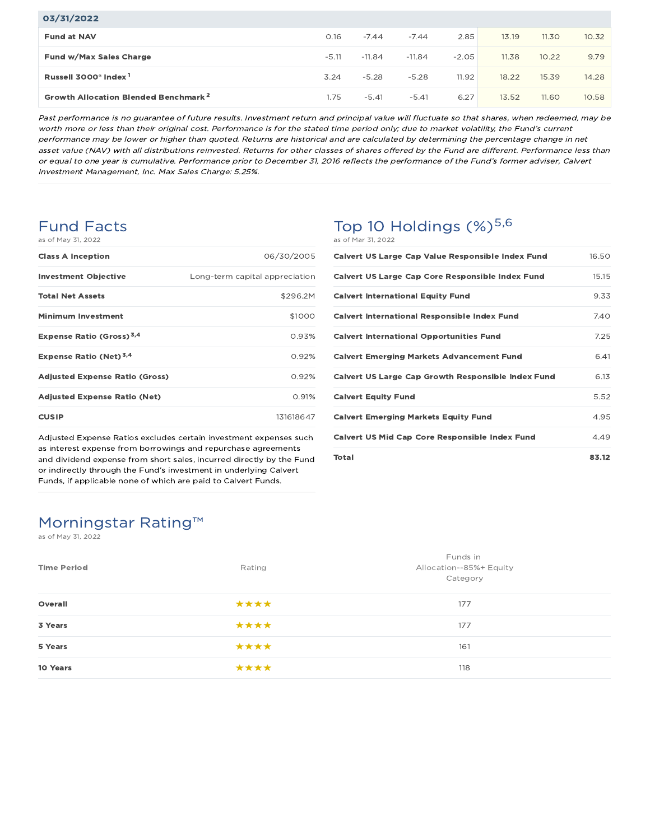| 03/31/2022                                       |         |          |          |         |       |       |       |
|--------------------------------------------------|---------|----------|----------|---------|-------|-------|-------|
| <b>Fund at NAV</b>                               | 0.16    | $-7.44$  | $-7.44$  | 2.85    | 13.19 | 11.30 | 10.32 |
| <b>Fund w/Max Sales Charge</b>                   | $-5.11$ | $-11.84$ | $-11.84$ | $-2.05$ | 11.38 | 10.22 | 9.79  |
| Russell 3000 <sup>®</sup> Index <sup>1</sup>     | 3.24    | $-5.28$  | $-5.28$  | 11.92   | 18.22 | 15.39 | 14.28 |
| Growth Allocation Blended Benchmark <sup>2</sup> | 1.75    | $-5.41$  | $-5.41$  | 6.27    | 13.52 | 11.60 | 10.58 |

Past performance is no guarantee of future results. Investment return and principal value will fluctuate so that shares, when redeemed, may be worth more or less than their original cost. Performance is for the stated time period only; due to market volatility, the Fund's current performance may be lower or higher than quoted. Returns are historical and are calculated by determining the percentage change in net asset value (NAV) with all distributions reinvested. Returns for other classes of shares offered by the Fund are different. Performance less than or equal to one year is cumulative. Performance prior to December 31, 2016 reflects the performance of the Fund's former adviser, Calvert Investment Management, Inc. Max Sales Charge: 5.25%.

## Fund Facts

| as of May 31, 2022 |  |  |  |  |  |  |
|--------------------|--|--|--|--|--|--|
|--------------------|--|--|--|--|--|--|

| <b>Class A Inception</b>                    | 06/30/2005                     |
|---------------------------------------------|--------------------------------|
| <b>Investment Objective</b>                 | Long-term capital appreciation |
| <b>Total Net Assets</b>                     | \$296.2M                       |
| <b>Minimum Investment</b>                   | \$1000                         |
| <b>Expense Ratio (Gross)</b> <sup>3,4</sup> | 0.93%                          |
| Expense Ratio (Net) <sup>3,4</sup>          | 0.92%                          |
| <b>Adjusted Expense Ratio (Gross)</b>       | 0.92%                          |
| <b>Adjusted Expense Ratio (Net)</b>         | 0.91%                          |
| <b>CUSIP</b>                                | 131618647                      |

Adjusted Expense Ratios excludes certain investment expenses such as interest expense from borrowings and repurchase agreements and dividend expense from short sales, incurred directly by the Fund or indirectly through the Fund's investment in underlying Calvert Funds, if applicable none of which are paid to Calvert Funds.

## Top 10 Holdings  $(\%)^{5,6}$ as of Mar 31, 2022

| Calvert US Large Cap Value Responsible Index Fund         | 16.50 |
|-----------------------------------------------------------|-------|
| <b>Calvert US Large Cap Core Responsible Index Fund</b>   | 15.15 |
| <b>Calvert International Equity Fund</b>                  | 9.33  |
| <b>Calvert International Responsible Index Fund</b>       | 7.40  |
| <b>Calvert International Opportunities Fund</b>           | 7.25  |
| <b>Calvert Emerging Markets Advancement Fund</b>          | 6.41  |
| <b>Calvert US Large Cap Growth Responsible Index Fund</b> | 6.13  |
| <b>Calvert Equity Fund</b>                                | 5.52  |
| <b>Calvert Emerging Markets Equity Fund</b>               | 4.95  |
| <b>Calvert US Mid Cap Core Responsible Index Fund</b>     | 4.49  |
| Total                                                     | 83.12 |

# Morningstar Rating™

as of May 31, 2022

| Funds in<br>Allocation--85%+ Equity<br>Category |
|-------------------------------------------------|
| 177                                             |
| 177                                             |
|                                                 |
| 118                                             |
| 161                                             |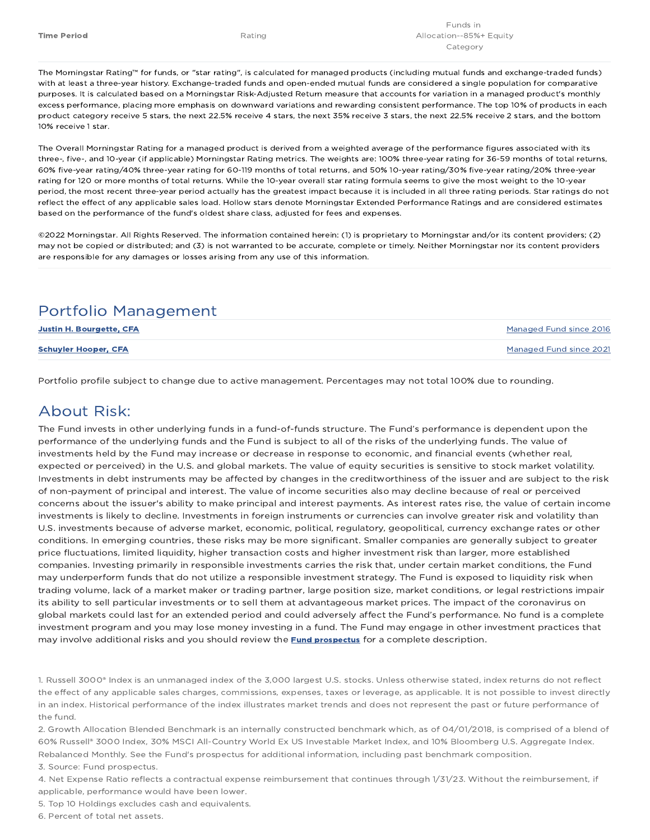The Morningstar Rating™ for funds, or "star rating", is calculated for managed products (including mutual funds and exchange-traded funds) with at least a three-year history. Exchange-traded funds and open-ended mutual funds are considered a single population for comparative purposes. It is calculated based on a Morningstar Risk-Adjusted Return measure that accounts for variation in a managed product's monthly excess performance, placing more emphasis on downward variations and rewarding consistent performance. The top 10% of products in each product category receive 5 stars, the next 22.5% receive 4 stars, the next 35% receive 3 stars, the next 22.5% receive 2 stars, and the bottom 10% receive 1 star.

The Overall Morningstar Rating for a managed product is derived from a weighted average of the performance figures associated with its three-, five-, and 10-year (if applicable) Morningstar Rating metrics. The weights are: 100% three-year rating for 36-59 months of total returns, 60% five-year rating/40% three-year rating for 60-119 months of total returns, and 50% 10-year rating/30% five-year rating/20% three-year rating for 120 or more months of total returns. While the 10-year overall star rating formula seems to give the most weight to the 10-year period, the most recent three-year period actually has the greatest impact because it is included in all three rating periods. Star ratings do not reflect the effect of any applicable sales load. Hollow stars denote Morningstar Extended Performance Ratings and are considered estimates based on the performance of the fund's oldest share class, adjusted for fees and expenses.

©2022 Morningstar. All Rights Reserved. The information contained herein: (1) is proprietary to Morningstar and/or its content providers; (2) may not be copied or distributed; and (3) is not warranted to be accurate, complete or timely. Neither Morningstar nor its content providers are responsible for any damages or losses arising from any use of this information.

## Portfolio Management

| <b>Justin H. Bourgette, CFA</b> | Managed Fund since 2016 |
|---------------------------------|-------------------------|
| <b>Schuyler Hooper, CFA</b>     | Managed Fund since 2021 |

Portfolio profile subject to change due to active management. Percentages may not total 100% due to rounding.

## About Risk:

The Fund invests in other underlying funds in a fund-of-funds structure. The Fund's performance is dependent upon the performance of the underlying funds and the Fund is subject to all of the risks of the underlying funds. The value of investments held by the Fund may increase or decrease in response to economic, and financial events (whether real, expected or perceived) in the U.S. and global markets. The value of equity securities is sensitive to stock market volatility. Investments in debt instruments may be affected by changes in the creditworthiness of the issuer and are subject to the risk of non-payment of principal and interest. The value of income securities also may decline because of real or perceived concerns about the issuer's ability to make principal and interest payments. As interest rates rise, the value of certain income investments is likely to decline. Investments in foreign instruments or currencies can involve greater risk and volatility than U.S. investments because of adverse market, economic, political, regulatory, geopolitical, currency exchange rates or other conditions. In emerging countries, these risks may be more significant. Smaller companies are generally subject to greater price fluctuations, limited liquidity, higher transaction costs and higher investment risk than larger, more established companies. Investing primarily in responsible investments carries the risk that, under certain market conditions, the Fund may underperform funds that do not utilize a responsible investment strategy. The Fund is exposed to liquidity risk when trading volume, lack of a market maker or trading partner, large position size, market conditions, or legal restrictions impair its ability to sell particular investments or to sell them at advantageous market prices. The impact of the coronavirus on global markets could last for an extended period and could adversely affect the Fund's performance. No fund is a complete investment program and you may lose money investing in a fund. The Fund may engage in other investment practices that may involve additional risks and you should review the **Fund prospectus** for a complete description.

1. Russell 3000® Index is an unmanaged index of the 3,000 largest U.S. stocks. Unless otherwise stated, index returns do not reflect the effect of any applicable sales charges, commissions, expenses, taxes or leverage, as applicable. It is not possible to invest directly in an index. Historical performance of the index illustrates market trends and does not represent the past or future performance of the fund.

2. Growth Allocation Blended Benchmark is an internally constructed benchmark which, as of 04/01/2018, is comprised of a blend of 60% Russell® 3000 Index, 30% MSCI All-Country World Ex US Investable Market Index, and 10% Bloomberg U.S. Aggregate Index. Rebalanced Monthly. See the Fund's prospectus for additional information, including past benchmark composition.

3. Source: Fund prospectus.

4. Net Expense Ratio reflects a contractual expense reimbursement that continues through 1/31/23. Without the reimbursement, if applicable, performance would have been lower.

5. Top 10 Holdings excludes cash and equivalents.

6. Percent of total net assets.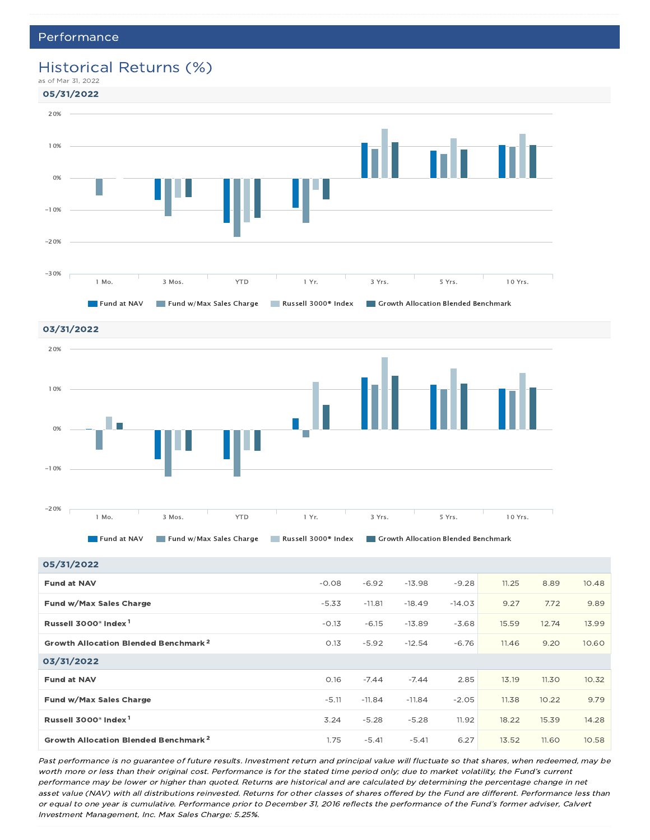## Historical Returns (%)





03/31/2022 20% 10% П 0% -10% -20% 1 Mo. 3 Mos. YTD 1 Yr. 3 Yrs. 5 Yrs. 10 Yrs.

**Fund at NAV Fund w/Max Sales Charge Russell 3000® Index Growth Allocation Blended Benchmark** 

05/31/2022 **Fund at NAV**  $-0.08$   $-6.92$   $-13.98$   $-9.28$   $-11.25$   $-8.89$   $-10.48$ Fund w/Max Sales Charge -5.33 -11.81 -18.49 -14.03 9.27 7.72 9.89 Russell 3000® Index -0.13 -6.15 -13.89 -3.68 15.59 12.74 13.99 1 **Growth Allocation Blended Benchmark 2 10.60 1.13**  $-5.92$   $-12.54$   $-6.76$  **11.46**  $-9.20$  10.60 03/31/2022 Fund at NAV 0.16 -7.44 -7.44 2.85 13.19 11.30 10.32 **Fund w/Max Sales Charge 2.9 2.9 2.9 2.05 11.38 10.22 2.9.79** -5.11 -11.84 -11.84 -11.84 -2.05 11.38 10.22 9.79 Russell 3000® Index 3.24 -5.28 -5.28 11.92 18.22 15.39 14.28 1 **Growth Allocation Blended Benchmark 2** 1.75  $-5.41$   $-5.41$   $-5.41$   $-5.41$   $-5.41$   $-5.41$   $-5.41$ 

Past performance is no guarantee of future results. Investment return and principal value will fluctuate so that shares, when redeemed, may be worth more or less than their original cost. Performance is for the stated time period only; due to market volatility, the Fund's current performance may be lower or higher than quoted. Returns are historical and are calculated by determining the percentage change in net asset value (NAV) with all distributions reinvested. Returns for other classes of shares offered by the Fund are different. Performance less than or equal to one year is cumulative. Performance prior to December 31, 2016 reflects the performance of the Fund's former adviser, Calvert Investment Management, Inc. Max Sales Charge: 5.25%.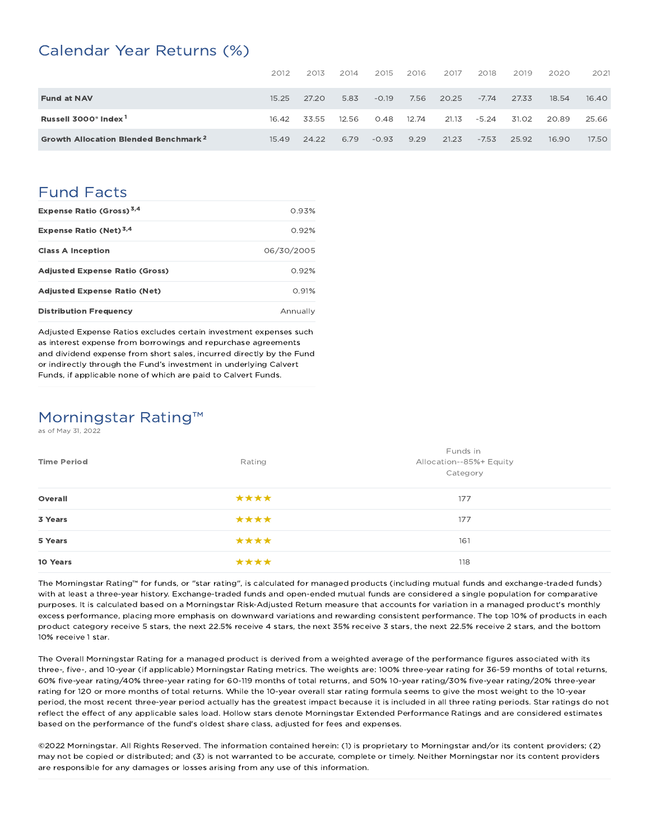## Calendar Year Returns (%)

|                                                  | 2012  | 2013  | 2014  | 2015    | 2016  | 2017  | 2018    | 2019  | 2020  | 2021  |
|--------------------------------------------------|-------|-------|-------|---------|-------|-------|---------|-------|-------|-------|
| <b>Fund at NAV</b>                               | 15.25 | 27.20 | 5.83  | $-0.19$ | 7.56  | 20.25 | $-7.74$ | 27.33 | 18.54 | 16.40 |
| Russell 3000 <sup>®</sup> Index <sup>1</sup>     | 16.42 | 33.55 | 12.56 | 0.48    | 12.74 | 21.13 | $-5.24$ | 31.02 | 20.89 | 25.66 |
| Growth Allocation Blended Benchmark <sup>2</sup> | 15.49 | 24.22 | 6.79  | $-0.93$ | 9.29  | 21.23 | $-7.53$ | 25.92 | 16.90 | 17.50 |

## Fund Facts

| Expense Ratio (Gross) <sup>3,4</sup>  | 0.93%      |
|---------------------------------------|------------|
| Expense Ratio (Net) <sup>3,4</sup>    | 0.92%      |
| <b>Class A Inception</b>              | 06/30/2005 |
| <b>Adjusted Expense Ratio (Gross)</b> | 0.92%      |
| <b>Adjusted Expense Ratio (Net)</b>   | 0.91%      |
| <b>Distribution Frequency</b>         | Annually   |

Adjusted Expense Ratios excludes certain investment expenses such as interest expense from borrowings and repurchase agreements and dividend expense from short sales, incurred directly by the Fund or indirectly through the Fund's investment in underlying Calvert Funds, if applicable none of which are paid to Calvert Funds.

## Morningstar Rating™

as of May 31, 2022

| <b>Time Period</b> | Rating | Funds in<br>Allocation--85%+ Equity<br>Category |
|--------------------|--------|-------------------------------------------------|
| Overall            | ****   | 177                                             |
| 3 Years            | ****   | 177                                             |
| 5 Years            | ****   | 161                                             |
| 10 Years           | ****   | 118                                             |

The Morningstar Rating™ for funds, or "star rating", is calculated for managed products (including mutual funds and exchange-traded funds) with at least a three-year history. Exchange-traded funds and open-ended mutual funds are considered a single population for comparative purposes. It is calculated based on a Morningstar Risk-Adjusted Return measure that accounts for variation in a managed product's monthly excess performance, placing more emphasis on downward variations and rewarding consistent performance. The top 10% of products in each product category receive 5 stars, the next 22.5% receive 4 stars, the next 35% receive 3 stars, the next 22.5% receive 2 stars, and the bottom 10% receive 1 star.

The Overall Morningstar Rating for a managed product is derived from a weighted average of the performance figures associated with its three-, five-, and 10-year (if applicable) Morningstar Rating metrics. The weights are: 100% three-year rating for 36-59 months of total returns, 60% five-year rating/40% three-year rating for 60-119 months of total returns, and 50% 10-year rating/30% five-year rating/20% three-year rating for 120 or more months of total returns. While the 10-year overall star rating formula seems to give the most weight to the 10-year period, the most recent three-year period actually has the greatest impact because it is included in all three rating periods. Star ratings do not reflect the effect of any applicable sales load. Hollow stars denote Morningstar Extended Performance Ratings and are considered estimates based on the performance of the fund's oldest share class, adjusted for fees and expenses.

©2022 Morningstar. All Rights Reserved. The information contained herein: (1) is proprietary to Morningstar and/or its content providers; (2) may not be copied or distributed; and (3) is not warranted to be accurate, complete or timely. Neither Morningstar nor its content providers are responsible for any damages or losses arising from any use of this information.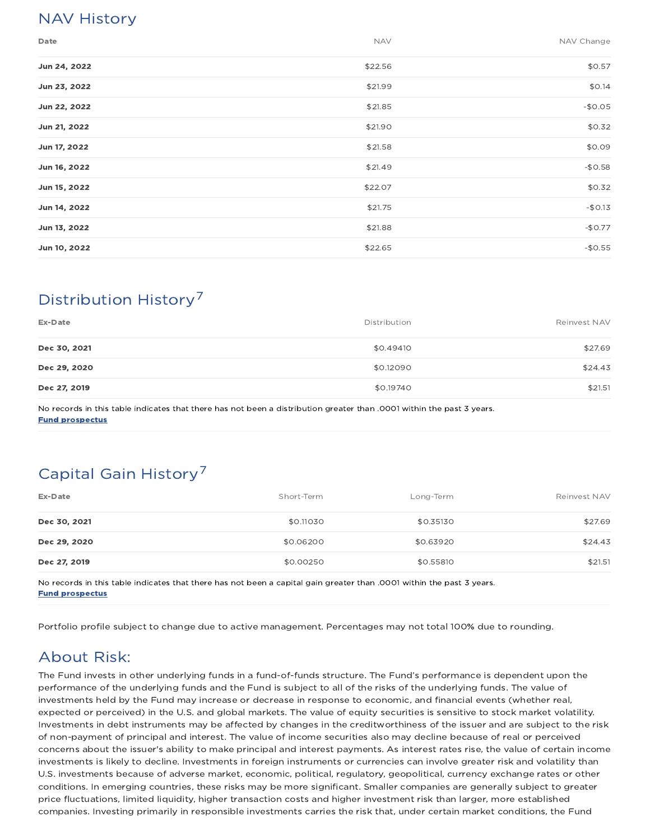# NAV History

| Date         | <b>NAV</b> | NAV Change |
|--------------|------------|------------|
| Jun 24, 2022 | \$22.56    | \$0.57     |
| Jun 23, 2022 | \$21.99    | \$0.14     |
| Jun 22, 2022 | \$21.85    | $-$0.05$   |
| Jun 21, 2022 | \$21.90    | \$0.32     |
| Jun 17, 2022 | \$21.58    | \$0.09     |
| Jun 16, 2022 | \$21.49    | $-$0.58$   |
| Jun 15, 2022 | \$22.07    | \$0.32     |
| Jun 14, 2022 | \$21.75    | $-$0.13$   |
| Jun 13, 2022 | \$21.88    | $-$0.77$   |
| Jun 10, 2022 | \$22.65    | $-$0.55$   |

# Distribution History 7

| Ex-Date      | Distribution | Reinvest NAV |
|--------------|--------------|--------------|
| Dec 30, 2021 | \$0.49410    | \$27.69      |
| Dec 29, 2020 | \$0.12090    | \$24.43      |
| Dec 27, 2019 | \$0.19740    | \$21.51      |

No records in this table indicates that there has not been a distribution greater than .0001 within the past 3 years. Fund prospectus

# Capital Gain History<sup>7</sup>

| Ex-Date      | Short-Term | Long-Term | Reinvest NAV |
|--------------|------------|-----------|--------------|
| Dec 30, 2021 | \$0.11030  | \$0.35130 | \$27.69      |
| Dec 29, 2020 | \$0.06200  | \$0.63920 | \$24.43      |
| Dec 27, 2019 | \$0.00250  | \$0.55810 | \$21.51      |

No records in this table indicates that there has not been a capital gain greater than .0001 within the past 3 years. Fund prospectus

Portfolio profile subject to change due to active management. Percentages may not total 100% due to rounding.

# About Risk:

The Fund invests in other underlying funds in a fund-of-funds structure. The Fund's performance is dependent upon the performance of the underlying funds and the Fund is subject to all of the risks of the underlying funds. The value of investments held by the Fund may increase or decrease in response to economic, and financial events (whether real, expected or perceived) in the U.S. and global markets. The value of equity securities is sensitive to stock market volatility. Investments in debt instruments may be affected by changes in the creditworthiness of the issuer and are subject to the risk of non-payment of principal and interest. The value of income securities also may decline because of real or perceived concerns about the issuer's ability to make principal and interest payments. As interest rates rise, the value of certain income investments is likely to decline. Investments in foreign instruments or currencies can involve greater risk and volatility than U.S. investments because of adverse market, economic, political, regulatory, geopolitical, currency exchange rates or other conditions. In emerging countries, these risks may be more significant. Smaller companies are generally subject to greater price fluctuations, limited liquidity, higher transaction costs and higher investment risk than larger, more established companies. Investing primarily in responsible investments carries the risk that, under certain market conditions, the Fund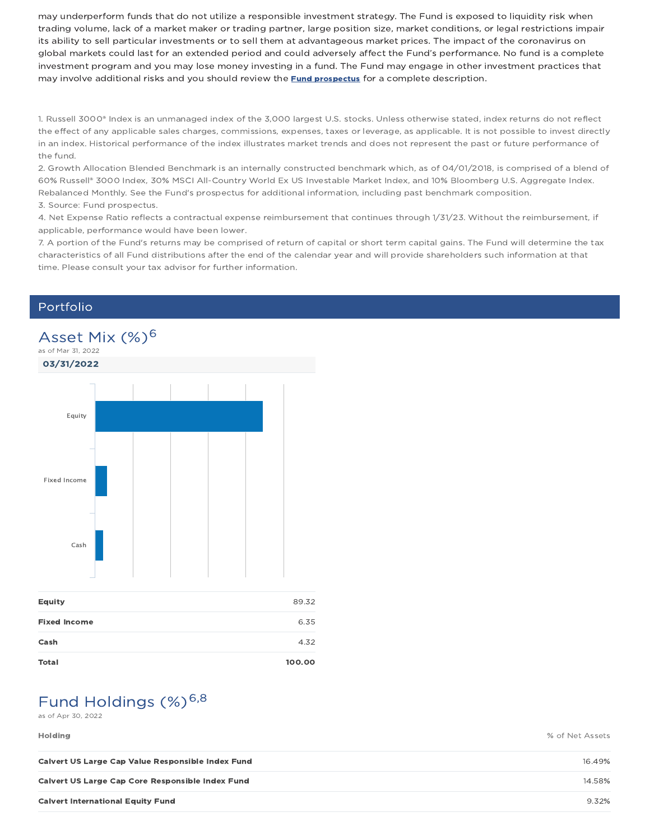may underperform funds that do not utilize a responsible investment strategy. The Fund is exposed to liquidity risk when trading volume, lack of a market maker or trading partner, large position size, market conditions, or legal restrictions impair its ability to sell particular investments or to sell them at advantageous market prices. The impact of the coronavirus on global markets could last for an extended period and could adversely affect the Fund's performance. No fund is a complete investment program and you may lose money investing in a fund. The Fund may engage in other investment practices that may involve additional risks and you should review the **Fund prospectus** for a complete description.

1. Russell 3000® Index is an unmanaged index of the 3,000 largest U.S. stocks. Unless otherwise stated, index returns do not reflect the effect of any applicable sales charges, commissions, expenses, taxes or leverage, as applicable. It is not possible to invest directly in an index. Historical performance of the index illustrates market trends and does not represent the past or future performance of the fund.

2. Growth Allocation Blended Benchmark is an internally constructed benchmark which, as of 04/01/2018, is comprised of a blend of 60% Russell® 3000 Index, 30% MSCI All-Country World Ex US Investable Market Index, and 10% Bloomberg U.S. Aggregate Index. Rebalanced Monthly. See the Fund's prospectus for additional information, including past benchmark composition. 3. Source: Fund prospectus.

4. Net Expense Ratio reflects a contractual expense reimbursement that continues through 1/31/23. Without the reimbursement, if applicable, performance would have been lower.

7. A portion of the Fund's returns may be comprised of return of capital or short term capital gains. The Fund will determine the tax characteristics of all Fund distributions after the end of the calendar year and will provide shareholders such information at that time. Please consult your tax advisor for further information.

## Portfolio



# Fund Holdings (%)<sup>6,8</sup>

as of Apr 30, 2022

Holding % of Net Assets

| Calvert US Large Cap Value Responsible Index Fund | 16.49% |
|---------------------------------------------------|--------|
| Calvert US Large Cap Core Responsible Index Fund  | 14.58% |
| <b>Calvert International Equity Fund</b>          | 9.32%  |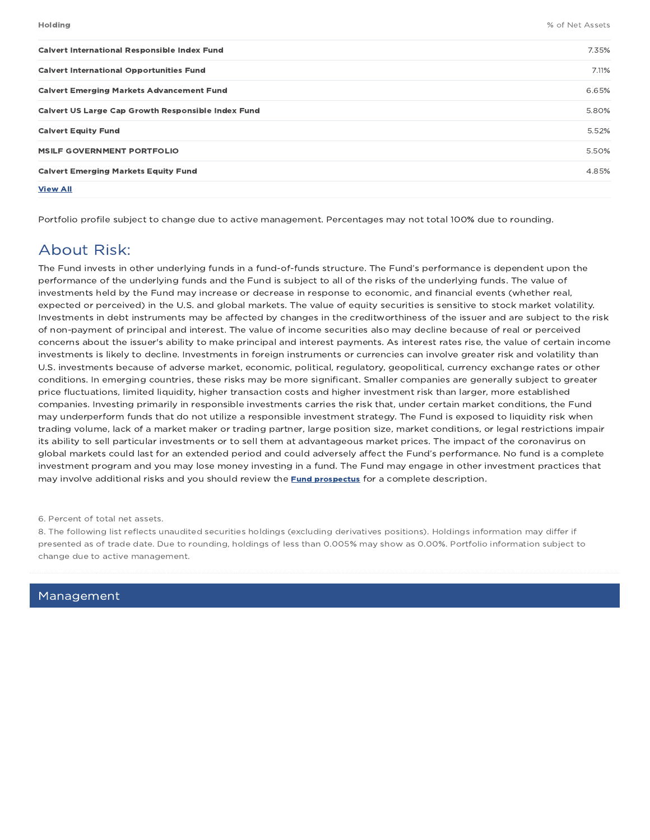| <b>Calvert International Responsible Index Fund</b>       | 7.35% |
|-----------------------------------------------------------|-------|
| <b>Calvert International Opportunities Fund</b>           | 7.11% |
| <b>Calvert Emerging Markets Advancement Fund</b>          | 6.65% |
| <b>Calvert US Large Cap Growth Responsible Index Fund</b> | 5.80% |
| <b>Calvert Equity Fund</b>                                | 5.52% |
| <b>MSILF GOVERNMENT PORTFOLIO</b>                         | 5.50% |
| <b>Calvert Emerging Markets Equity Fund</b>               | 4.85% |
| <b>View All</b>                                           |       |

Portfolio profile subject to change due to active management. Percentages may not total 100% due to rounding.

## About Risk:

The Fund invests in other underlying funds in a fund-of-funds structure. The Fund's performance is dependent upon the performance of the underlying funds and the Fund is subject to all of the risks of the underlying funds. The value of investments held by the Fund may increase or decrease in response to economic, and financial events (whether real, expected or perceived) in the U.S. and global markets. The value of equity securities is sensitive to stock market volatility. Investments in debt instruments may be affected by changes in the creditworthiness of the issuer and are subject to the risk of non-payment of principal and interest. The value of income securities also may decline because of real or perceived concerns about the issuer's ability to make principal and interest payments. As interest rates rise, the value of certain income investments is likely to decline. Investments in foreign instruments or currencies can involve greater risk and volatility than U.S. investments because of adverse market, economic, political, regulatory, geopolitical, currency exchange rates or other conditions. In emerging countries, these risks may be more significant. Smaller companies are generally subject to greater price fluctuations, limited liquidity, higher transaction costs and higher investment risk than larger, more established companies. Investing primarily in responsible investments carries the risk that, under certain market conditions, the Fund may underperform funds that do not utilize a responsible investment strategy. The Fund is exposed to liquidity risk when trading volume, lack of a market maker or trading partner, large position size, market conditions, or legal restrictions impair its ability to sell particular investments or to sell them at advantageous market prices. The impact of the coronavirus on global markets could last for an extended period and could adversely affect the Fund's performance. No fund is a complete investment program and you may lose money investing in a fund. The Fund may engage in other investment practices that may involve additional risks and you should review the **Fund prospectus** for a complete description.

#### 6. Percent of total net assets.

8. The following list reflects unaudited securities holdings (excluding derivatives positions). Holdings information may differ if presented as of trade date. Due to rounding, holdings of less than 0.005% may show as 0.00%. Portfolio information subject to change due to active management.

Management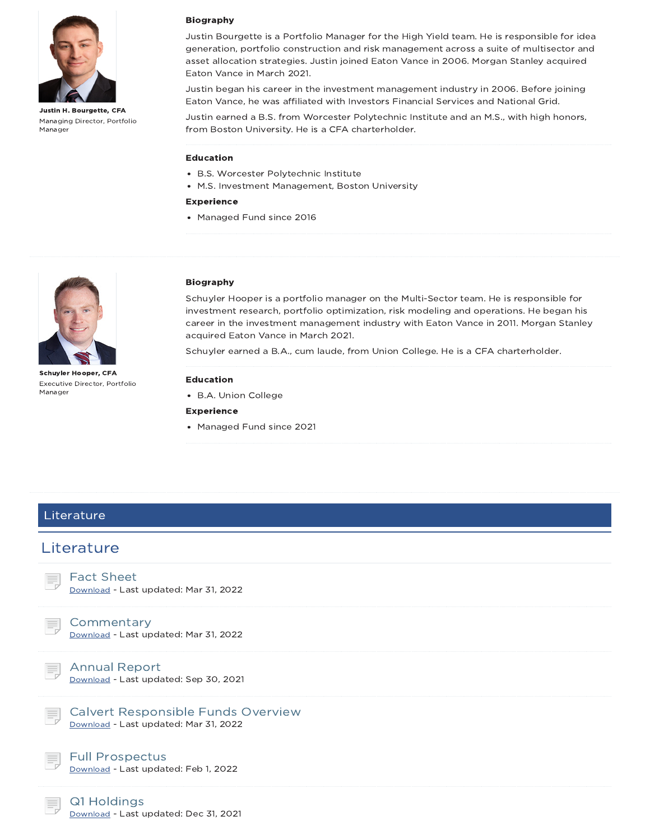

Justin H. Bourgette, CFA Managing Director, Portfolio Manager

#### Biography

Justin Bourgette is a Portfolio Manager for the High Yield team. He is responsible for idea generation, portfolio construction and risk management across a suite of multisector and asset allocation strategies. Justin joined Eaton Vance in 2006. Morgan Stanley acquired Eaton Vance in March 2021.

Justin began his career in the investment management industry in 2006. Before joining Eaton Vance, he was affiliated with Investors Financial Services and National Grid.

Justin earned a B.S. from Worcester Polytechnic Institute and an M.S., with high honors, from Boston University. He is a CFA charterholder.

#### Education

- B.S. Worcester Polytechnic Institute
- M.S. Investment Management, Boston University

#### Experience

• Managed Fund since 2016



Schuyler Hooper, CFA Executive Director, Portfolio Manager

#### Biography

Schuyler Hooper is a portfolio manager on the Multi-Sector team. He is responsible for investment research, portfolio optimization, risk modeling and operations. He began his career in the investment management industry with Eaton Vance in 2011. Morgan Stanley acquired Eaton Vance in March 2021.

Schuyler earned a B.A., cum laude, from Union College. He is a CFA charterholder.

#### Education

B.A. Union College

#### Experience

• Managed Fund since 2021

## **Literature**

## **Literature**

### Fact Sheet

Download - Last updated: Mar 31, 2022

## **Commentary**

Download - Last updated: Mar 31, 2022

Annual Report Download - Last updated: Sep 30, 2021

Calvert Responsible Funds Overview Download - Last updated: Mar 31, 2022

Download - Last updated: Feb 1, 2022



Full Prospectus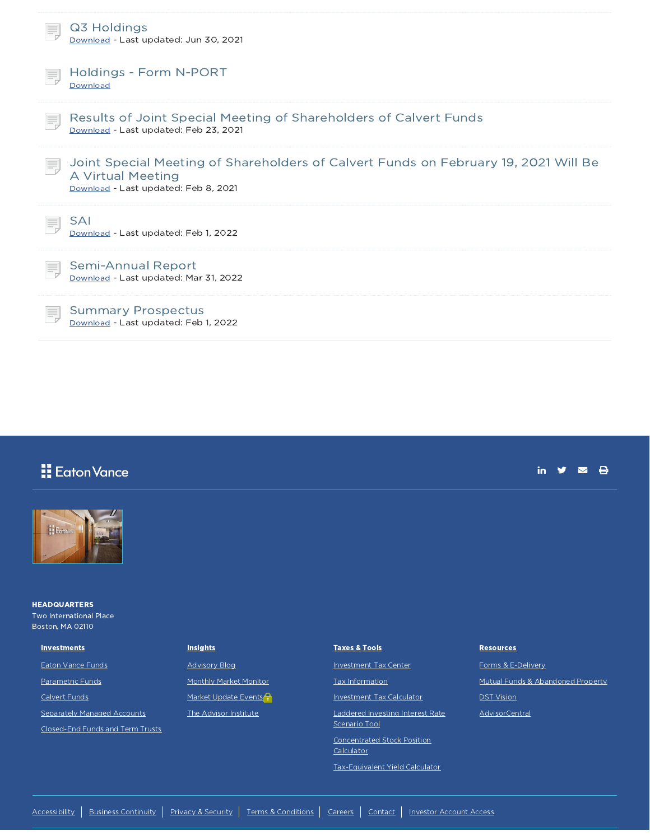| Q3 Holdings<br>Download - Last updated: Jun 30, 2021                                                                                             |
|--------------------------------------------------------------------------------------------------------------------------------------------------|
| Holdings - Form N-PORT<br>Download                                                                                                               |
| Results of Joint Special Meeting of Shareholders of Calvert Funds<br>Download - Last updated: Feb 23, 2021                                       |
| Joint Special Meeting of Shareholders of Calvert Funds on February 19, 2021 Will Be<br>A Virtual Meeting<br>Download - Last updated: Feb 8, 2021 |
| <b>SAI</b><br>Download - Last updated: Feb 1, 2022                                                                                               |
| Semi-Annual Report<br>Download - Last updated: Mar 31, 2022                                                                                      |
| <b>Summary Prospectus</b><br>Download - Last updated: Feb 1, 2022                                                                                |

| <b>Eaton Vance</b>                                                        |                        |                                                                                         | А<br>in                           |
|---------------------------------------------------------------------------|------------------------|-----------------------------------------------------------------------------------------|-----------------------------------|
| <b>Extents</b>                                                            |                        |                                                                                         |                                   |
| <b>HEADQUARTERS</b><br><b>Two International Place</b><br>Boston, MA 02110 |                        |                                                                                         |                                   |
| <b>Investments</b>                                                        | <b>Insights</b>        | <b>Taxes &amp; Tools</b>                                                                | <b>Resources</b>                  |
| <b>Eaton Vance Funds</b>                                                  | <b>Advisory Blog</b>   | <b>Investment Tax Center</b>                                                            | Forms & E-Delivery                |
| Parametric Funds                                                          | Monthly Market Monitor | <b>Tax Information</b>                                                                  | Mutual Funds & Abandoned Property |
| Calvert Funds                                                             | Market Update Events   | <b>Investment Tax Calculator</b>                                                        | <b>DST Vision</b>                 |
| Separately Managed Accounts<br>Closed-End Funds and Term Trusts           | The Advisor Institute  | Laddered Investing Interest Rate<br>Scenario Tool<br><b>Concentrated Stock Position</b> | AdvisorCentral                    |
|                                                                           |                        | Calculator<br>Tax-Equivalent Yield Calculator                                           |                                   |